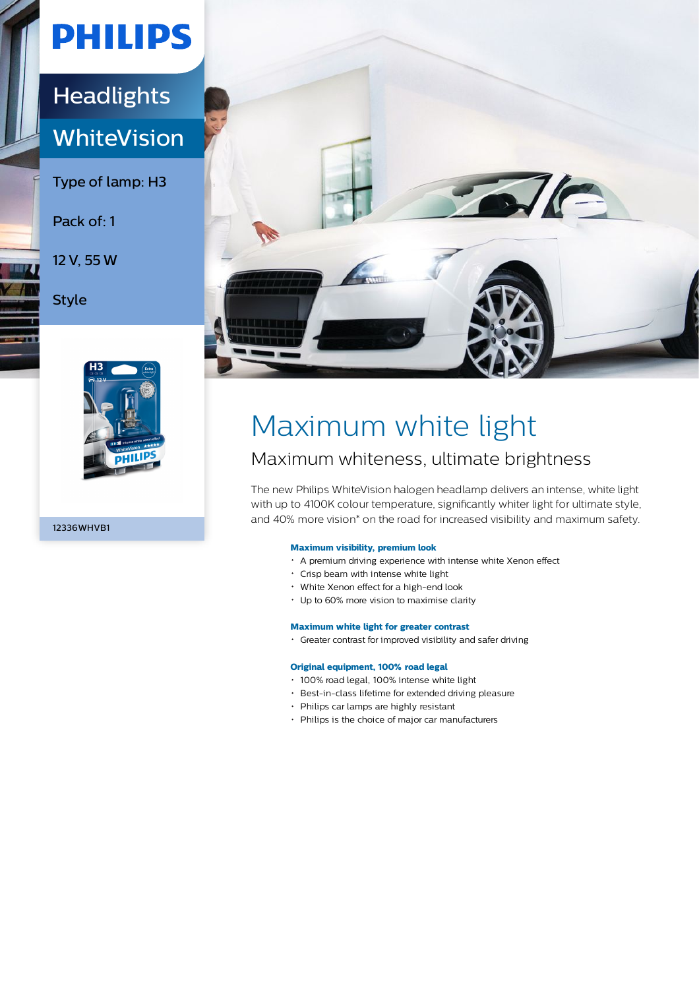# **PHILIPS**

### **Headlights WhiteVision**

Type of lamp: H3

Pack of: 1

12 V, 55 W

Style



12336WHVB1



## Maximum white light

### Maximum whiteness, ultimate brightness

The new Philips WhiteVision halogen headlamp delivers an intense, white light with up to 4100K colour temperature, significantly whiter light for ultimate style, and 40% more vision\* on the road for increased visibility and maximum safety.

### **Maximum visibility, premium look**

- A premium driving experience with intense white Xenon effect
- Crisp beam with intense white light
- White Xenon effect for a high-end look
- Up to 60% more vision to maximise clarity

#### **Maximum white light for greater contrast**

Greater contrast for improved visibility and safer driving

#### **Original equipment, 100% road legal**

- 100% road legal, 100% intense white light
- Best-in-class lifetime for extended driving pleasure
- Philips car lamps are highly resistant
- Philips is the choice of major car manufacturers